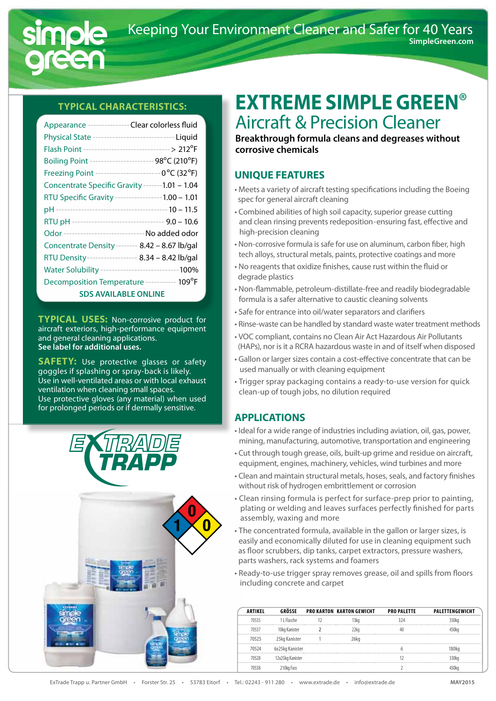

#### **Typical Characteristics:**

| Appearance ---------------Clear colorless fluid                  |  |  |  |  |
|------------------------------------------------------------------|--|--|--|--|
| Physical State -------------------------- ---- Liquid            |  |  |  |  |
| Flash Point --------------------------------> 212 <sup>o</sup> F |  |  |  |  |
| Boiling Point ------------------------ 98°C (210°F)              |  |  |  |  |
| Freezing Point ---------------------- 0°C (32°F)                 |  |  |  |  |
| Concentrate Specific Gravity -------1.01 - 1.04                  |  |  |  |  |
| RTU Specific Gravity ----------------- 1.00 - 1.01               |  |  |  |  |
|                                                                  |  |  |  |  |
| RTU pH -------------------------------- 9.0 - 10.6               |  |  |  |  |
| Odor ------------------------------ No added odor                |  |  |  |  |
| Concentrate Density-------- 8.42 - 8.67 lb/gal                   |  |  |  |  |
| RTU Density----------------- 8.34 - 8.42 lb/gal                  |  |  |  |  |
| Water Solubility ----------------------------- 100%              |  |  |  |  |
| Decomposition Temperature ----------- 109°F                      |  |  |  |  |
| <b>SDS AVAILABLE ONLINE</b>                                      |  |  |  |  |

**Typical USES:** Non-corrosive product for aircraft exteriors, high-performance equipment and general cleaning applications. **See label for additional uses.**

**SAFETY:** Use protective glasses or safety goggles if splashing or spray-back is likely. Use in well-ventilated areas or with local exhaust ventilation when cleaning small spaces. Use protective gloves (any material) when used for prolonged periods or if dermally sensitive.



# **Extreme SIMPLE GREEN**® Aircraft & Precision Cleaner

**Breakthrough formula cleans and degreases without corrosive chemicals**

### **UNIQUE FEATURES**

- Meets a variety of aircraft testing specifications including the Boeing spec for general aircraft cleaning
- Combined abilities of high soil capacity, superior grease cutting and clean rinsing prevents redeposition-ensuring fast, effective and high-precision cleaning
- Non-corrosive formula issafe for use on aluminum, carbon fiber, high tech alloys, structural metals, paints, protective coatings and more
- No reagents that oxidize finishes, cause rust within the fluid or degrade plastics
- Non-flammable, petroleum-distillate-free and readily biodegradable formula is a safer alternative to caustic cleaning solvents
- Safe for entrance into oil/water separators and clarifiers
- Rinse-waste can be handled by standard waste water treatment methods
- VOC compliant, contains no Clean Air Act Hazardous Air Pollutants (HAPs), nor is it a RCRA hazardous waste in and of itself when disposed
- Gallon or larger sizes contain a cost-effective concentrate that can be used manually or with cleaning equipment
- Trigger spray packaging contains a ready-to-use version for quick clean-up of tough jobs, no dilution required

### **APPLICATIONS**

- Ideal for a wide range of industries including aviation, oil, gas, power, mining, manufacturing, automotive, transportation and engineering
- Cut through tough grease, oils, built-up grime and residue on aircraft, equipment, engines, machinery, vehicles, wind turbines and more
- Clean and maintain structural metals, hoses, seals, and factory finishes without risk of hydrogen embrittlement or corrosion
- Clean rinsing formula is perfect for surface-prep prior to painting, plating or welding and leaves surfaces perfectly finished for parts assembly, waxing and more
- The concentrated formula, available in the gallon or larger sizes, is easily and economically diluted for use in cleaning equipment such as floor scrubbers, dip tanks, carpet extractors, pressure washers, parts washers, rack systems and foamers
- Ready-to-use trigger spray removes grease, oil and spills from floors including concrete and carpet

| <b>ARTIKEL</b> | GRÖSSE           | <b>PRO KARTON KARTON GEWICHT</b> | <b>PRO PALETTE</b> | PALETTENGEWICHT |
|----------------|------------------|----------------------------------|--------------------|-----------------|
| 70535          | 1 L Flasche      | 13ka                             | 324                | 350kg           |
| 70537          | 10kg Kanister    | 22 <sub>k</sub>                  |                    | 450kg           |
| 70525          | 25kg Kanister    | 26kg                             |                    |                 |
| 70524          | 6x25kg Kanister  |                                  |                    | 180ka           |
| 70528          | 12x25kg Kanister |                                  |                    | 330kg           |
| 70538          | 210kg Fass       |                                  |                    |                 |